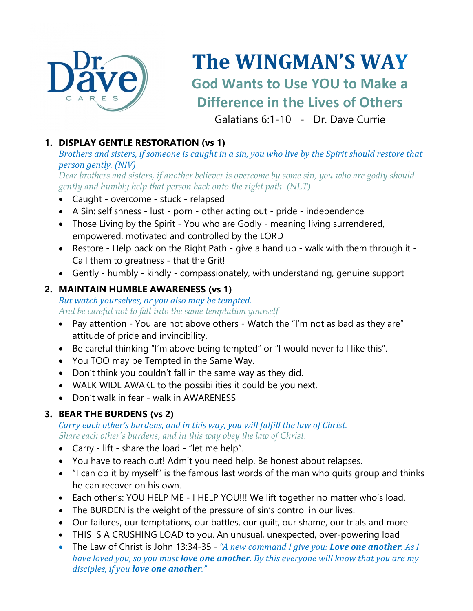

# **The WINGMAN'S WAY God Wants to Use YOU to Make a Difference in the Lives of Others**

Galatians 6:1-10 - Dr. Dave Currie

#### **1. DISPLAY GENTLE RESTORATION (vs 1)**

#### *Brothers and sisters, if someone is caught in a sin, you who live by the Spirit should restore that person gently. (NIV)*

*Dear brothers and sisters, if another believer is overcome by some sin, you who are godly should gently and humbly help that person back onto the right path. (NLT)*

- Caught overcome stuck relapsed
- A Sin: selfishness lust porn other acting out pride independence
- Those Living by the Spirit You who are Godly meaning living surrendered, empowered, motivated and controlled by the LORD
- Restore Help back on the Right Path give a hand up walk with them through it Call them to greatness - that the Grit!
- Gently humbly kindly compassionately, with understanding, genuine support

#### **2. MAINTAIN HUMBLE AWARENESS (vs 1)**

#### *But watch yourselves, or you also may be tempted. And be careful not to fall into the same temptation yourself*

- Pay attention You are not above others Watch the "I'm not as bad as they are" attitude of pride and invincibility.
- Be careful thinking "I'm above being tempted" or "I would never fall like this".
- You TOO may be Tempted in the Same Way.
- Don't think you couldn't fall in the same way as they did.
- WALK WIDE AWAKE to the possibilities it could be you next.
- Don't walk in fear walk in AWARENESS

#### **3. BEAR THE BURDENS (vs 2)**

#### *Carry each other's burdens, and in this way, you will fulfill the law of Christ. Share each other's burdens, and in this way obey the law of Christ.*

- Carry lift share the load "let me help".
- You have to reach out! Admit you need help. Be honest about relapses.
- "I can do it by myself" is the famous last words of the man who quits group and thinks he can recover on his own.
- Each other's: YOU HELP ME I HELP YOU!!! We lift together no matter who's load.
- The BURDEN is the weight of the pressure of sin's control in our lives.
- Our failures, our temptations, our battles, our guilt, our shame, our trials and more.
- THIS IS A CRUSHING LOAD to you. An unusual, unexpected, over-powering load
- The Law of Christ is John 13:34-35 "A new command I give you: Love one another. As I *have loved you, so you must love one another. By this everyone will know that you are my disciples, if you love one another."*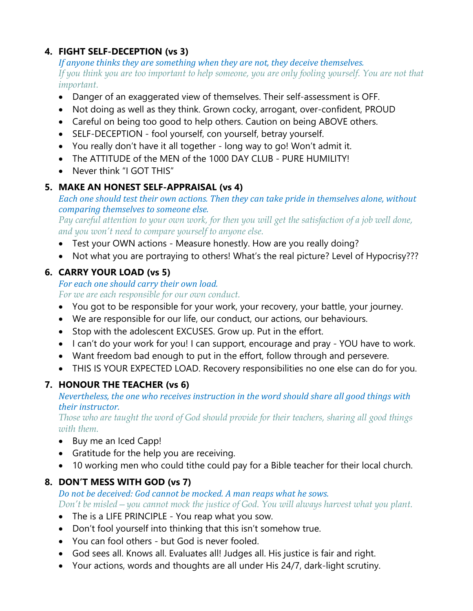#### **4. FIGHT SELF-DECEPTION (vs 3)**

*If anyone thinks they are something when they are not, they deceive themselves. If you think you are too important to help someone, you are only fooling yourself. You are not that important.*

- Danger of an exaggerated view of themselves. Their self-assessment is OFF.
- Not doing as well as they think. Grown cocky, arrogant, over-confident, PROUD
- Careful on being too good to help others. Caution on being ABOVE others.
- SELF-DECEPTION fool yourself, con yourself, betray yourself.
- You really don't have it all together long way to go! Won't admit it.
- The ATTITUDE of the MEN of the 1000 DAY CLUB PURE HUMILITY!
- Never think "I GOT THIS"

#### **5. MAKE AN HONEST SELF-APPRAISAL (vs 4)**

*Each* one should test their own actions. Then they can take pride in themselves alone, without *comparing themselves to someone else.*

*Pay careful attention to your own work, for then you will get the satisfaction of a job well done, and you won't need to compare yourself to anyone else.*

- Test your OWN actions Measure honestly. How are you really doing?
- Not what you are portraying to others! What's the real picture? Level of Hypocrisy???

### **6. CARRY YOUR LOAD (vs 5)**

*For each one should carry their own load. For we are each responsible for our own conduct.*

- You got to be responsible for your work, your recovery, your battle, your journey.
- We are responsible for our life, our conduct, our actions, our behaviours.
- Stop with the adolescent EXCUSES. Grow up. Put in the effort.
- I can't do your work for you! I can support, encourage and pray YOU have to work.
- Want freedom bad enough to put in the effort, follow through and persevere.
- THIS IS YOUR EXPECTED LOAD. Recovery responsibilities no one else can do for you.

# **7. HONOUR THE TEACHER (vs 6)**

*Nevertheless, the one who receives instruction in the word should share all good things with their instructor.*

*Those who are taught the word of God should provide for their teachers, sharing all good things with them.*

- Buy me an Iced Capp!
- Gratitude for the help you are receiving.
- 10 working men who could tithe could pay for a Bible teacher for their local church.

# **8. DON'T MESS WITH GOD (vs 7)**

*Do not be deceived: God cannot be mocked. A man reaps what he sows. Don't be misled—you cannot mock the justice of God. You will always harvest what you plant.*

- The is a LIFE PRINCIPLE You reap what you sow.
- Don't fool yourself into thinking that this isn't somehow true.
- You can fool others but God is never fooled.
- God sees all. Knows all. Evaluates all! Judges all. His justice is fair and right.
- Your actions, words and thoughts are all under His 24/7, dark-light scrutiny.